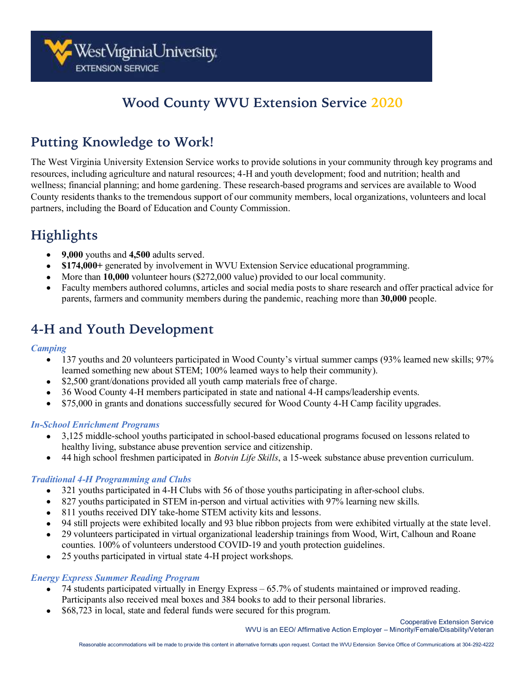## **Wood County WVU Extension Service 2020**

## **Putting Knowledge to Work!**

The West Virginia University Extension Service works to provide solutions in your community through key programs and resources, including agriculture and natural resources; 4-H and youth development; food and nutrition; health and wellness; financial planning; and home gardening. These research-based programs and services are available to Wood County residents thanks to the tremendous support of our community members, local organizations, volunteers and local partners, including the Board of Education and County Commission.

# **Highlights**

- **9,000** youths and **4,500** adults served.
- **\$174,000+** generated by involvement in WVU Extension Service educational programming.
- More than **10,000** volunteer hours (\$272,000 value) provided to our local community.
- Faculty members authored columns, articles and social media posts to share research and offer practical advice for parents, farmers and community members during the pandemic, reaching more than **30,000** people.

### **4-H and Youth Development**

#### *Camping*

- 137 youths and 20 volunteers participated in Wood County's virtual summer camps (93% learned new skills; 97% learned something new about STEM; 100% learned ways to help their community).
- \$2,500 grant/donations provided all youth camp materials free of charge.
- 36 Wood County 4-H members participated in state and national 4-H camps/leadership events.
- \$75,000 in grants and donations successfully secured for Wood County 4-H Camp facility upgrades.

#### *In-School Enrichment Programs*

- 3,125 middle-school youths participated in school-based educational programs focused on lessons related to healthy living, substance abuse prevention service and citizenship.
- 44 high school freshmen participated in *Botvin Life Skills*, a 15-week substance abuse prevention curriculum.

#### *Traditional 4-H Programming and Clubs*

- 321 youths participated in 4-H Clubs with 56 of those youths participating in after-school clubs.
- 827 youths participated in STEM in-person and virtual activities with 97% learning new skills.
- 811 youths received DIY take-home STEM activity kits and lessons.
- 94 still projects were exhibited locally and 93 blue ribbon projects from were exhibited virtually at the state level.
- 29 volunteers participated in virtual organizational leadership trainings from Wood, Wirt, Calhoun and Roane counties. 100% of volunteers understood COVID-19 and youth protection guidelines.
- 25 youths participated in virtual state 4-H project workshops.

#### *Energy Express Summer Reading Program*

- 74 students participated virtually in Energy Express 65.7% of students maintained or improved reading. Participants also received meal boxes and 384 books to add to their personal libraries.
- \$68,723 in local, state and federal funds were secured for this program.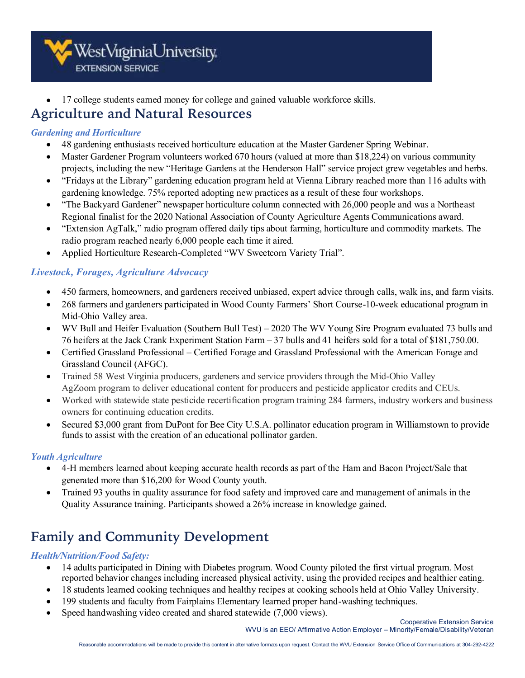WestVirginiaUniversity **EXTENSION SERVICE** 

• 17 college students earned money for college and gained valuable workforce skills.

### **Agriculture and Natural Resources**

#### *Gardening and Horticulture*

- 48 gardening enthusiasts received horticulture education at the Master Gardener Spring Webinar.
- Master Gardener Program volunteers worked 670 hours (valued at more than \$18,224) on various community projects, including the new "Heritage Gardens at the Henderson Hall" service project grew vegetables and herbs.
- "Fridays at the Library" gardening education program held at Vienna Library reached more than 116 adults with gardening knowledge. 75% reported adopting new practices as a result of these four workshops.
- "The Backyard Gardener" newspaper horticulture column connected with 26,000 people and was a Northeast Regional finalist for the 2020 National Association of County Agriculture Agents Communications award.
- "Extension AgTalk," radio program offered daily tips about farming, horticulture and commodity markets. The radio program reached nearly 6,000 people each time it aired.
- Applied Horticulture Research-Completed "WV Sweetcorn Variety Trial".

#### *Livestock, Forages, Agriculture Advocacy*

- 450 farmers, homeowners, and gardeners received unbiased, expert advice through calls, walk ins, and farm visits.
- 268 farmers and gardeners participated in Wood County Farmers' Short Course-10-week educational program in Mid-Ohio Valley area.
- WV Bull and Heifer Evaluation (Southern Bull Test) 2020 The WV Young Sire Program evaluated 73 bulls and 76 heifers at the Jack Crank Experiment Station Farm – 37 bulls and 41 heifers sold for a total of \$181,750.00.
- Certified Grassland Professional Certified Forage and Grassland Professional with the American Forage and Grassland Council (AFGC).
- Trained 58 West Virginia producers, gardeners and service providers through the Mid-Ohio Valley AgZoom program to deliver educational content for producers and pesticide applicator credits and CEUs.
- Worked with statewide state pesticide recertification program training 284 farmers, industry workers and business owners for continuing education credits.
- Secured \$3,000 grant from DuPont for Bee City U.S.A. pollinator education program in Williamstown to provide funds to assist with the creation of an educational pollinator garden.

#### *Youth Agriculture*

- 4-H members learned about keeping accurate health records as part of the Ham and Bacon Project/Sale that generated more than \$16,200 for Wood County youth.
- Trained 93 youths in quality assurance for food safety and improved care and management of animals in the Quality Assurance training. Participants showed a 26% increase in knowledge gained.

# **Family and Community Development**

#### *Health/Nutrition/Food Safety:*

- 14 adults participated in Dining with Diabetes program. Wood County piloted the first virtual program. Most reported behavior changes including increased physical activity, using the provided recipes and healthier eating.
- 18 students learned cooking techniques and healthy recipes at cooking schools held at Ohio Valley University.
- 199 students and faculty from Fairplains Elementary learned proper hand-washing techniques.
- Speed handwashing video created and shared statewide (7,000 views).